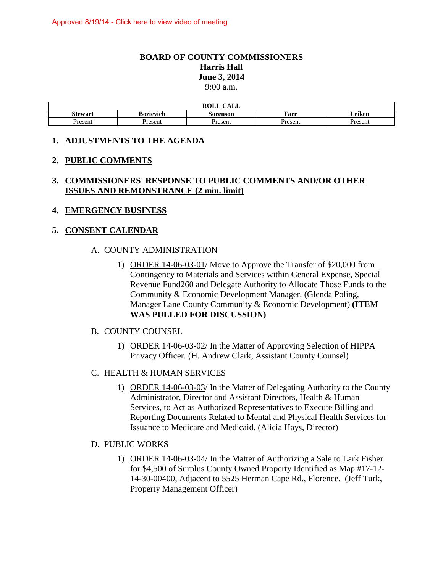## **BOARD OF COUNTY COMMISSIONERS Harris Hall June 3, 2014**  9:00 a.m.

| $C$ at t<br><b>ROLL</b><br>ALL |           |          |         |         |  |
|--------------------------------|-----------|----------|---------|---------|--|
| <b>Stewart</b>                 | Bozievich | Sorenson | Farr    | Leiken  |  |
| Present                        | Present   | Present  | Present | Present |  |

#### **1. ADJUSTMENTS TO THE AGENDA**

## **2. PUBLIC COMMENTS**

## **3. COMMISSIONERS' RESPONSE TO PUBLIC COMMENTS AND/OR OTHER ISSUES AND REMONSTRANCE (2 min. limit)**

## **4. EMERGENCY BUSINESS**

## **5. CONSENT CALENDAR**

#### A. COUNTY ADMINISTRATION

1) ORDER 14-06-03-01/ Move to Approve the Transfer of \$20,000 from Contingency to Materials and Services within General Expense, Special Revenue Fund260 and Delegate Authority to Allocate Those Funds to the Community & Economic Development Manager. (Glenda Poling, Manager Lane County Community & Economic Development) **(ITEM WAS PULLED FOR DISCUSSION)**

#### B. COUNTY COUNSEL

1) ORDER 14-06-03-02/ In the Matter of Approving Selection of HIPPA Privacy Officer. (H. Andrew Clark, Assistant County Counsel)

#### C. HEALTH & HUMAN SERVICES

- 1) ORDER 14-06-03-03/ In the Matter of Delegating Authority to the County Administrator, Director and Assistant Directors, Health & Human Services, to Act as Authorized Representatives to Execute Billing and Reporting Documents Related to Mental and Physical Health Services for Issuance to Medicare and Medicaid. (Alicia Hays, Director)
- D. PUBLIC WORKS
	- 1) ORDER 14-06-03-04/ In the Matter of Authorizing a Sale to Lark Fisher for \$4,500 of Surplus County Owned Property Identified as Map #17-12- 14-30-00400, Adjacent to 5525 Herman Cape Rd., Florence. (Jeff Turk, Property Management Officer)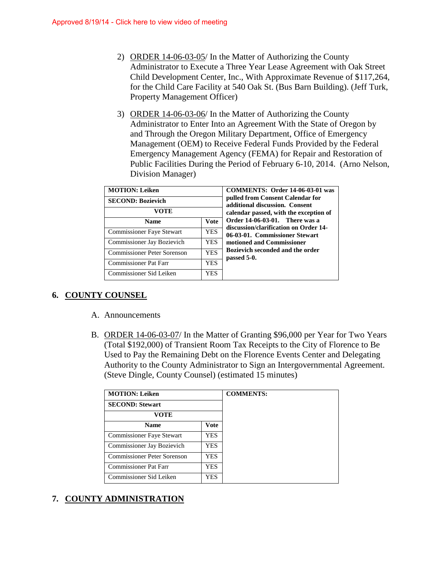- 2) ORDER 14-06-03-05/ In the Matter of Authorizing the County Administrator to Execute a Three Year Lease Agreement with Oak Street Child Development Center, Inc., With Approximate Revenue of \$117,264, for the Child Care Facility at 540 Oak St. (Bus Barn Building). (Jeff Turk, Property Management Officer)
- 3) ORDER 14-06-03-06/ In the Matter of Authorizing the County Administrator to Enter Into an Agreement With the State of Oregon by and Through the Oregon Military Department, Office of Emergency Management (OEM) to Receive Federal Funds Provided by the Federal Emergency Management Agency (FEMA) for Repair and Restoration of Public Facilities During the Period of February 6-10, 2014. (Arno Nelson, Division Manager)

| <b>MOTION: Leiken</b><br><b>SECOND: Bozievich</b><br>VOTE | <b>COMMENTS: Order 14-06-03-01 was</b><br>pulled from Consent Calendar for<br>additional discussion. Consent<br>calendar passed, with the exception of |                                                                                                                       |
|-----------------------------------------------------------|--------------------------------------------------------------------------------------------------------------------------------------------------------|-----------------------------------------------------------------------------------------------------------------------|
| <b>Name</b>                                               | <b>Vote</b>                                                                                                                                            | Order 14-06-03-01. There was a<br>discussion/clarification on Order 14-                                               |
| Commissioner Faye Stewart                                 | <b>YES</b><br><b>YES</b>                                                                                                                               | 06-03-01. Commissioner Stewart<br>motioned and Commissioner<br><b>Bozievich seconded and the order</b><br>passed 5-0. |
| Commissioner Jay Bozievich                                |                                                                                                                                                        |                                                                                                                       |
| <b>Commissioner Peter Sorenson</b>                        | <b>YES</b>                                                                                                                                             |                                                                                                                       |
| <b>Commissioner Pat Farr</b>                              | <b>YES</b>                                                                                                                                             |                                                                                                                       |
| Commissioner Sid Leiken                                   | <b>YES</b>                                                                                                                                             |                                                                                                                       |

# **6. COUNTY COUNSEL**

- A. Announcements
- B. ORDER 14-06-03-07/ In the Matter of Granting \$96,000 per Year for Two Years (Total \$192,000) of Transient Room Tax Receipts to the City of Florence to Be Used to Pay the Remaining Debt on the Florence Events Center and Delegating Authority to the County Administrator to Sign an Intergovernmental Agreement. (Steve Dingle, County Counsel) (estimated 15 minutes)

| <b>MOTION: Leiken</b>            |            |
|----------------------------------|------------|
| <b>SECOND: Stewart</b>           |            |
| VOTE                             |            |
| <b>Name</b>                      | Vote       |
| <b>Commissioner Faye Stewart</b> | <b>YES</b> |
| Commissioner Jay Bozievich       | <b>YES</b> |
| Commissioner Peter Sorenson      | <b>YES</b> |
| <b>Commissioner Pat Farr</b>     | YES.       |
| Commissioner Sid Leiken          | YES.       |

# **7. COUNTY ADMINISTRATION**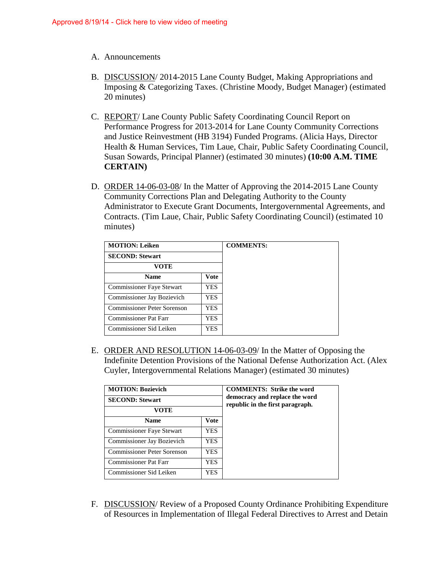- A. Announcements
- B. DISCUSSION/ 2014-2015 Lane County Budget, Making Appropriations and Imposing & Categorizing Taxes. (Christine Moody, Budget Manager) (estimated 20 minutes)
- C. REPORT/ Lane County Public Safety Coordinating Council Report on Performance Progress for 2013-2014 for Lane County Community Corrections and Justice Reinvestment (HB 3194) Funded Programs. (Alicia Hays, Director Health & Human Services, Tim Laue, Chair, Public Safety Coordinating Council, Susan Sowards, Principal Planner) (estimated 30 minutes) **(10:00 A.M. TIME CERTAIN)**
- D. ORDER 14-06-03-08/ In the Matter of Approving the 2014-2015 Lane County Community Corrections Plan and Delegating Authority to the County Administrator to Execute Grant Documents, Intergovernmental Agreements, and Contracts. (Tim Laue, Chair, Public Safety Coordinating Council) (estimated 10 minutes)

| <b>MOTION: Leiken</b>              |             |  |
|------------------------------------|-------------|--|
| <b>SECOND: Stewart</b>             |             |  |
| <b>VOTE</b>                        |             |  |
| <b>Name</b>                        | <b>Vote</b> |  |
| Commissioner Faye Stewart          | YES.        |  |
| Commissioner Jay Bozievich         | YES.        |  |
| <b>Commissioner Peter Sorenson</b> | YES         |  |
| Commissioner Pat Farr              | YES         |  |
| Commissioner Sid Leiken            | YES         |  |

E. ORDER AND RESOLUTION 14-06-03-09/ In the Matter of Opposing the Indefinite Detention Provisions of the National Defense Authorization Act. (Alex Cuyler, Intergovernmental Relations Manager) (estimated 30 minutes)

| <b>MOTION: Bozievich</b>           | <b>COMMENTS: Strike the word</b><br>democracy and replace the word<br>republic in the first paragraph. |  |
|------------------------------------|--------------------------------------------------------------------------------------------------------|--|
| <b>SECOND: Stewart</b>             |                                                                                                        |  |
| VOTE                               |                                                                                                        |  |
| <b>Name</b>                        | <b>Vote</b>                                                                                            |  |
| <b>Commissioner Faye Stewart</b>   | YES.                                                                                                   |  |
| Commissioner Jay Bozievich         | YES.                                                                                                   |  |
| <b>Commissioner Peter Sorenson</b> | YES                                                                                                    |  |
| Commissioner Pat Farr              | YES                                                                                                    |  |
| Commissioner Sid Leiken            | YES.                                                                                                   |  |

F. DISCUSSION/ Review of a Proposed County Ordinance Prohibiting Expenditure of Resources in Implementation of Illegal Federal Directives to Arrest and Detain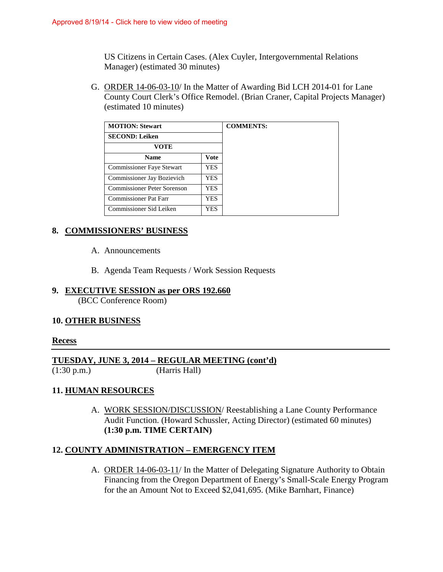US Citizens in Certain Cases. (Alex Cuyler, Intergovernmental Relations Manager) (estimated 30 minutes)

G. ORDER 14-06-03-10/ In the Matter of Awarding Bid LCH 2014-01 for Lane County Court Clerk's Office Remodel. (Brian Craner, Capital Projects Manager) (estimated 10 minutes)

| <b>MOTION: Stewart</b>           |      |
|----------------------------------|------|
| <b>SECOND: Leiken</b>            |      |
| <b>VOTE</b>                      |      |
| <b>Name</b>                      | Vote |
| <b>Commissioner Faye Stewart</b> | YES  |
| Commissioner Jay Bozievich       | YES. |
| Commissioner Peter Sorenson      | YES. |
| <b>Commissioner Pat Farr</b>     | YES. |
| Commissioner Sid Leiken          | YES. |

# **8. COMMISSIONERS' BUSINESS**

- A. Announcements
- B. Agenda Team Requests / Work Session Requests

#### **9. EXECUTIVE SESSION as per ORS 192.660**  (BCC Conference Room)

#### **10. OTHER BUSINESS**

#### **Recess**

**TUESDAY, JUNE 3, 2014 – REGULAR MEETING (cont'd)** (1:30 p.m.) (Harris Hall)

#### **11. HUMAN RESOURCES**

A. WORK SESSION/DISCUSSION/ Reestablishing a Lane County Performance Audit Function. (Howard Schussler, Acting Director) (estimated 60 minutes) **(1:30 p.m. TIME CERTAIN)**

# **12. COUNTY ADMINISTRATION – EMERGENCY ITEM**

A. ORDER 14-06-03-11/ In the Matter of Delegating Signature Authority to Obtain Financing from the Oregon Department of Energy's Small-Scale Energy Program for the an Amount Not to Exceed \$2,041,695. (Mike Barnhart, Finance)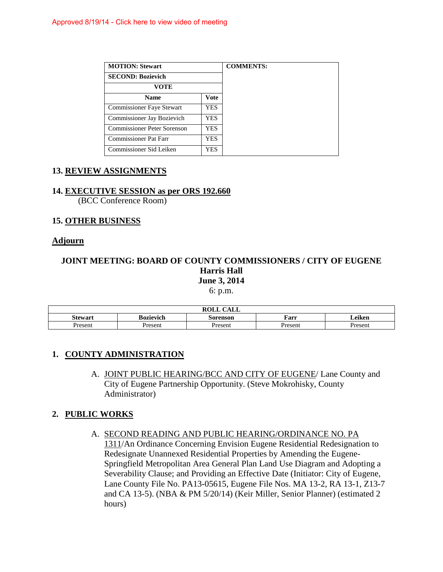| <b>MOTION: Stewart</b>           |             |
|----------------------------------|-------------|
| <b>SECOND: Bozievich</b>         |             |
| VOTE                             |             |
| <b>Name</b>                      | <b>Vote</b> |
| <b>Commissioner Faye Stewart</b> | YES         |
| Commissioner Jay Bozievich       | YES.        |
| Commissioner Peter Sorenson      | YES         |
| Commissioner Pat Farr            | YES.        |
| Commissioner Sid Leiken          | YES         |

# **13. REVIEW ASSIGNMENTS**

#### **14. EXECUTIVE SESSION as per ORS 192.660**

(BCC Conference Room)

## **15. OTHER BUSINESS**

#### **Adjourn**

# **JOINT MEETING: BOARD OF COUNTY COMMISSIONERS / CITY OF EUGENE Harris Hall June 3, 2014**

6: p.m.

| $\bigcap$<br>DAT T<br>$\sim$ |           |          |         |         |  |
|------------------------------|-----------|----------|---------|---------|--|
| <b>Stewart</b>               | Bozievich | Sorenson | Farr    | Leiken  |  |
| Present                      | Present   | resent?  | Present | Present |  |

# **1. COUNTY ADMINISTRATION**

A. JOINT PUBLIC HEARING/BCC AND CITY OF EUGENE/ Lane County and City of Eugene Partnership Opportunity. (Steve Mokrohisky, County Administrator)

#### **2. PUBLIC WORKS**

A. SECOND READING AND PUBLIC HEARING/ORDINANCE NO. PA 1311/An Ordinance Concerning Envision Eugene Residential Redesignation to Redesignate Unannexed Residential Properties by Amending the Eugene-Springfield Metropolitan Area General Plan Land Use Diagram and Adopting a Severability Clause; and Providing an Effective Date (Initiator: City of Eugene, Lane County File No. PA13-05615, Eugene File Nos. MA 13-2, RA 13-1, Z13-7 and CA 13-5). (NBA & PM 5/20/14) (Keir Miller, Senior Planner) (estimated 2 hours)